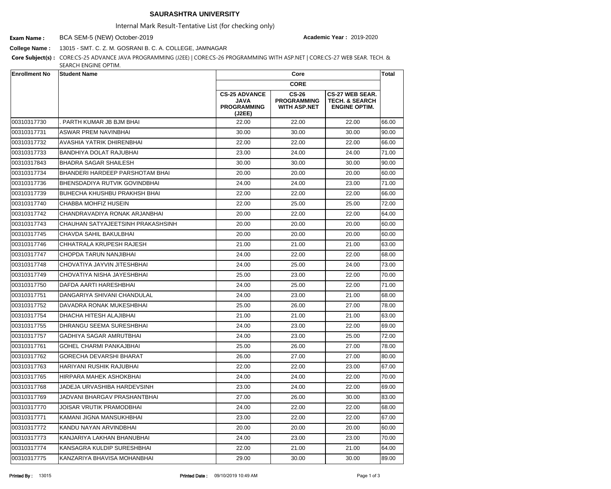## **SAURASHTRA UNIVERSITY**

Internal Mark Result-Tentative List (for checking only)

BCA SEM-5 (NEW) October-2019 **Exam Name : Academic Year :** 2019-2020

**College Name :** 13015 - SMT. C. Z. M. GOSRANI B. C. A. COLLEGE, JAMNAGAR

**Core Subject(s) :** CORE:CS-25 ADVANCE JAVA PROGRAMMING (J2EE) | CORE:CS-26 PROGRAMMING WITH ASP.NET | CORE:CS-27 WEB SEAR. TECH. & SEARCH ENGINE OPTIM.

| <b>Enrollment No</b> | <b>Student Name</b>               |                                                                     | Core<br><b>CORE</b>                                       |                                                                             |       |
|----------------------|-----------------------------------|---------------------------------------------------------------------|-----------------------------------------------------------|-----------------------------------------------------------------------------|-------|
|                      |                                   |                                                                     |                                                           |                                                                             |       |
|                      |                                   | <b>CS-25 ADVANCE</b><br><b>JAVA</b><br><b>PROGRAMMING</b><br>(J2EE) | <b>CS-26</b><br><b>PROGRAMMING</b><br><b>WITH ASP.NET</b> | <b>CS-27 WEB SEAR.</b><br><b>TECH. &amp; SEARCH</b><br><b>ENGINE OPTIM.</b> |       |
| 00310317730          | PARTH KUMAR JB BJM BHAI           | 22.00                                                               | 22.00                                                     | 22.00                                                                       | 66.00 |
| 00310317731          | <b>ASWAR PREM NAVINBHAI</b>       | 30.00                                                               | 30.00                                                     | 30.00                                                                       | 90.00 |
| 00310317732          | <b>AVASHIA YATRIK DHIRENBHAI</b>  | 22.00                                                               | 22.00                                                     | 22.00                                                                       | 66.00 |
| 00310317733          | BANDHIYA DOLAT RAJUBHAI           | 23.00                                                               | 24.00                                                     | 24.00                                                                       | 71.00 |
| 00310317843          | <b>BHADRA SAGAR SHAILESH</b>      | 30.00                                                               | 30.00                                                     | 30.00                                                                       | 90.00 |
| 00310317734          | BHANDERI HARDEEP PARSHOTAM BHAI   | 20.00                                                               | 20.00                                                     | 20.00                                                                       | 60.00 |
| 00310317736          | BHENSDADIYA RUTVIK GOVINDBHAI     | 24.00                                                               | 24.00                                                     | 23.00                                                                       | 71.00 |
| 00310317739          | BUHECHA KHUSHBU PRAKHSH BHAI      | 22.00                                                               | 22.00                                                     | 22.00                                                                       | 66.00 |
| 00310317740          | CHABBA MOHFIZ HUSEIN              | 22.00                                                               | 25.00                                                     | 25.00                                                                       | 72.00 |
| 00310317742          | CHANDRAVADIYA RONAK ARJANBHAI     | 20.00                                                               | 22.00                                                     | 22.00                                                                       | 64.00 |
| 00310317743          | CHAUHAN SATYAJEETSINH PRAKASHSINH | 20.00                                                               | 20.00                                                     | 20.00                                                                       | 60.00 |
| 00310317745          | <b>CHAVDA SAHIL BAKULBHAI</b>     | 20.00                                                               | 20.00                                                     | 20.00                                                                       | 60.00 |
| 00310317746          | CHHATRALA KRUPESH RAJESH          | 21.00                                                               | 21.00                                                     | 21.00                                                                       | 63.00 |
| 00310317747          | CHOPDA TARUN NANJIBHAI            | 24.00                                                               | 22.00                                                     | 22.00                                                                       | 68.00 |
| 00310317748          | CHOVATIYA JAYVIN JITESHBHAI       | 24.00                                                               | 25.00                                                     | 24.00                                                                       | 73.00 |
| 00310317749          | CHOVATIYA NISHA JAYESHBHAI        | 25.00                                                               | 23.00                                                     | 22.00                                                                       | 70.00 |
| 00310317750          | DAFDA AARTI HARESHBHAI            | 24.00                                                               | 25.00                                                     | 22.00                                                                       | 71.00 |
| 00310317751          | DANGARIYA SHIVANI CHANDULAL       | 24.00                                                               | 23.00                                                     | 21.00                                                                       | 68.00 |
| 00310317752          | DAVADRA RONAK MUKESHBHAI          | 25.00                                                               | 26.00                                                     | 27.00                                                                       | 78.00 |
| 00310317754          | DHACHA HITESH ALAJIBHAI           | 21.00                                                               | 21.00                                                     | 21.00                                                                       | 63.00 |
| 00310317755          | DHRANGU SEEMA SURESHBHAI          | 24.00                                                               | 23.00                                                     | 22.00                                                                       | 69.00 |
| 00310317757          | <b>GADHIYA SAGAR AMRUTBHAI</b>    | 24.00                                                               | 23.00                                                     | 25.00                                                                       | 72.00 |
| 00310317761          | <b>GOHEL CHARMI PANKAJBHAI</b>    | 25.00                                                               | 26.00                                                     | 27.00                                                                       | 78.00 |
| 00310317762          | <b>GORECHA DEVARSHI BHARAT</b>    | 26.00                                                               | 27.00                                                     | 27.00                                                                       | 80.00 |
| 00310317763          | HARIYANI RUSHIK RAJUBHAI          | 22.00                                                               | 22.00                                                     | 23.00                                                                       | 67.00 |
| 00310317765          | HIRPARA MAHEK ASHOKBHAI           | 24.00                                                               | 24.00                                                     | 22.00                                                                       | 70.00 |
| 00310317768          | JADEJA URVASHIBA HARDEVSINH       | 23.00                                                               | 24.00                                                     | 22.00                                                                       | 69.00 |
| 00310317769          | JADVANI BHARGAV PRASHANTBHAI      | 27.00                                                               | 26.00                                                     | 30.00                                                                       | 83.00 |
| 00310317770          | JOISAR VRUTIK PRAMODBHAI          | 24.00                                                               | 22.00                                                     | 22.00                                                                       | 68.00 |
| 00310317771          | KAMANI JIGNA MANSUKHBHAI          | 23.00                                                               | 22.00                                                     | 22.00                                                                       | 67.00 |
| 00310317772          | KANDU NAYAN ARVINDBHAI            | 20.00                                                               | 20.00                                                     | 20.00                                                                       | 60.00 |
| 00310317773          | KANJARIYA LAKHAN BHANUBHAI        | 24.00                                                               | 23.00                                                     | 23.00                                                                       | 70.00 |
| 00310317774          | KANSAGRA KULDIP SURESHBHAI        | 22.00                                                               | 21.00                                                     | 21.00                                                                       | 64.00 |
| 00310317775          | KANZARIYA BHAVISA MOHANBHAI       | 29.00                                                               | 30.00                                                     | 30.00                                                                       | 89.00 |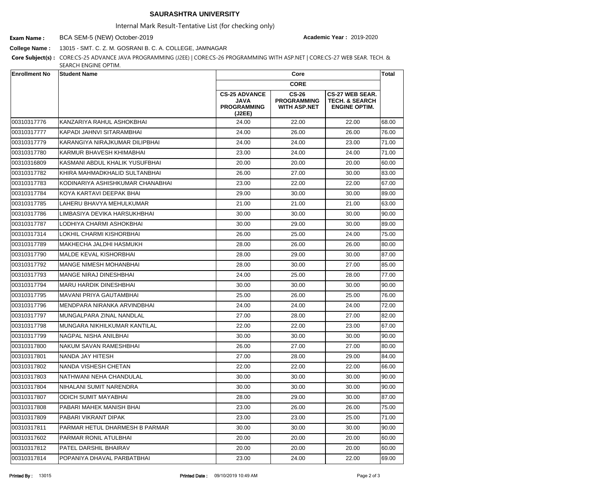## **SAURASHTRA UNIVERSITY**

Internal Mark Result-Tentative List (for checking only)

BCA SEM-5 (NEW) October-2019 **Exam Name : Academic Year :** 2019-2020

**College Name :** 13015 - SMT. C. Z. M. GOSRANI B. C. A. COLLEGE, JAMNAGAR

**Core Subject(s) :** CORE:CS-25 ADVANCE JAVA PROGRAMMING (J2EE) | CORE:CS-26 PROGRAMMING WITH ASP.NET | CORE:CS-27 WEB SEAR. TECH. & SEARCH ENGINE OPTIM.

| <b>Enrollment No</b> | <b>Student Name</b>              |                                                                     | Core<br><b>CORE</b>                                       |                                                                             |       |
|----------------------|----------------------------------|---------------------------------------------------------------------|-----------------------------------------------------------|-----------------------------------------------------------------------------|-------|
|                      |                                  |                                                                     |                                                           |                                                                             |       |
|                      |                                  | <b>CS-25 ADVANCE</b><br><b>JAVA</b><br><b>PROGRAMMING</b><br>(J2EE) | <b>CS-26</b><br><b>PROGRAMMING</b><br><b>WITH ASP.NET</b> | <b>CS-27 WEB SEAR.</b><br><b>TECH. &amp; SEARCH</b><br><b>ENGINE OPTIM.</b> |       |
| 00310317776          | KANZARIYA RAHUL ASHOKBHAI        | 24.00                                                               | 22.00                                                     | 22.00                                                                       | 68.00 |
| 00310317777          | İKAPADI JAHNVI SITARAMBHAI       | 24.00                                                               | 26.00                                                     | 26.00                                                                       | 76.00 |
| 00310317779          | KARANGIYA NIRAJKUMAR DILIPBHAI   | 24.00                                                               | 24.00                                                     | 23.00                                                                       | 71.00 |
| 00310317780          | <b>KARMUR BHAVESH KHIMABHAI</b>  | 23.00                                                               | 24.00                                                     | 24.00                                                                       | 71.00 |
| 00310316809          | KASMANI ABDUL KHALIK YUSUFBHAI   | 20.00                                                               | 20.00                                                     | 20.00                                                                       | 60.00 |
| 00310317782          | IKHIRA MAHMADKHALID SULTANBHAI   | 26.00                                                               | 27.00                                                     | 30.00                                                                       | 83.00 |
| 00310317783          | KODINARIYA ASHISHKUMAR CHANABHAI | 23.00                                                               | 22.00                                                     | 22.00                                                                       | 67.00 |
| 00310317784          | KOYA KARTAVI DEEPAK BHAI         | 29.00                                                               | 30.00                                                     | 30.00                                                                       | 89.00 |
| 00310317785          | LAHERU BHAVYA MEHULKUMAR         | 21.00                                                               | 21.00                                                     | 21.00                                                                       | 63.00 |
| 00310317786          | LIMBASIYA DEVIKA HARSUKHBHAI     | 30.00                                                               | 30.00                                                     | 30.00                                                                       | 90.00 |
| 00310317787          | LODHIYA CHARMI ASHOKBHAI         | 30.00                                                               | 29.00                                                     | 30.00                                                                       | 89.00 |
| 00310317314          | LOKHIL CHARMI KISHORBHAI         | 26.00                                                               | 25.00                                                     | 24.00                                                                       | 75.00 |
| 00310317789          | MAKHECHA JALDHI HASMUKH          | 28.00                                                               | 26.00                                                     | 26.00                                                                       | 80.00 |
| 00310317790          | IMALDE KEVAL KISHORBHAI          | 28.00                                                               | 29.00                                                     | 30.00                                                                       | 87.00 |
| 00310317792          | <b>MANGE NIMESH MOHANBHAI</b>    | 28.00                                                               | 30.00                                                     | 27.00                                                                       | 85.00 |
| 00310317793          | <b>MANGE NIRAJ DINESHBHAI</b>    | 24.00                                                               | 25.00                                                     | 28.00                                                                       | 77.00 |
| 00310317794          | <b>MARU HARDIK DINESHBHAI</b>    | 30.00                                                               | 30.00                                                     | 30.00                                                                       | 90.00 |
| 00310317795          | MAVANI PRIYA GAUTAMBHAI          | 25.00                                                               | 26.00                                                     | 25.00                                                                       | 76.00 |
| 00310317796          | IMENDPARA NIRANKA ARVINDBHAI     | 24.00                                                               | 24.00                                                     | 24.00                                                                       | 72.00 |
| 00310317797          | MUNGALPARA ZINAL NANDLAL         | 27.00                                                               | 28.00                                                     | 27.00                                                                       | 82.00 |
| 00310317798          | MUNGARA NIKHILKUMAR KANTILAL     | 22.00                                                               | 22.00                                                     | 23.00                                                                       | 67.00 |
| 00310317799          | <b>NAGPAL NISHA ANILBHAI</b>     | 30.00                                                               | 30.00                                                     | 30.00                                                                       | 90.00 |
| 00310317800          | NAKUM SAVAN RAMESHBHAI           | 26.00                                                               | 27.00                                                     | 27.00                                                                       | 80.00 |
| 00310317801          | NANDA JAY HITESH                 | 27.00                                                               | 28.00                                                     | 29.00                                                                       | 84.00 |
| 00310317802          | <b>NANDA VISHESH CHETAN</b>      | 22.00                                                               | 22.00                                                     | 22.00                                                                       | 66.00 |
| 00310317803          | NATHWANI NEHA CHANDULAL          | 30.00                                                               | 30.00                                                     | 30.00                                                                       | 90.00 |
| 00310317804          | NIHALANI SUMIT NARENDRA          | 30.00                                                               | 30.00                                                     | 30.00                                                                       | 90.00 |
| 00310317807          | <b>ODICH SUMIT MAYABHAI</b>      | 28.00                                                               | 29.00                                                     | 30.00                                                                       | 87.00 |
| 00310317808          | PABARI MAHEK MANISH BHAI         | 23.00                                                               | 26.00                                                     | 26.00                                                                       | 75.00 |
| 00310317809          | PABARI VIKRANT DIPAK             | 23.00                                                               | 23.00                                                     | 25.00                                                                       | 71.00 |
| 00310317811          | PARMAR HETUL DHARMESH B PARMAR   | 30.00                                                               | 30.00                                                     | 30.00                                                                       | 90.00 |
| 00310317602          | PARMAR RONIL ATULBHAI            | 20.00                                                               | 20.00                                                     | 20.00                                                                       | 60.00 |
| 00310317812          | <b>PATEL DARSHIL BHAIRAV</b>     | 20.00                                                               | 20.00                                                     | 20.00                                                                       | 60.00 |
| 00310317814          | POPANIYA DHAVAL PARBATBHAI       | 23.00                                                               | 24.00                                                     | 22.00                                                                       | 69.00 |